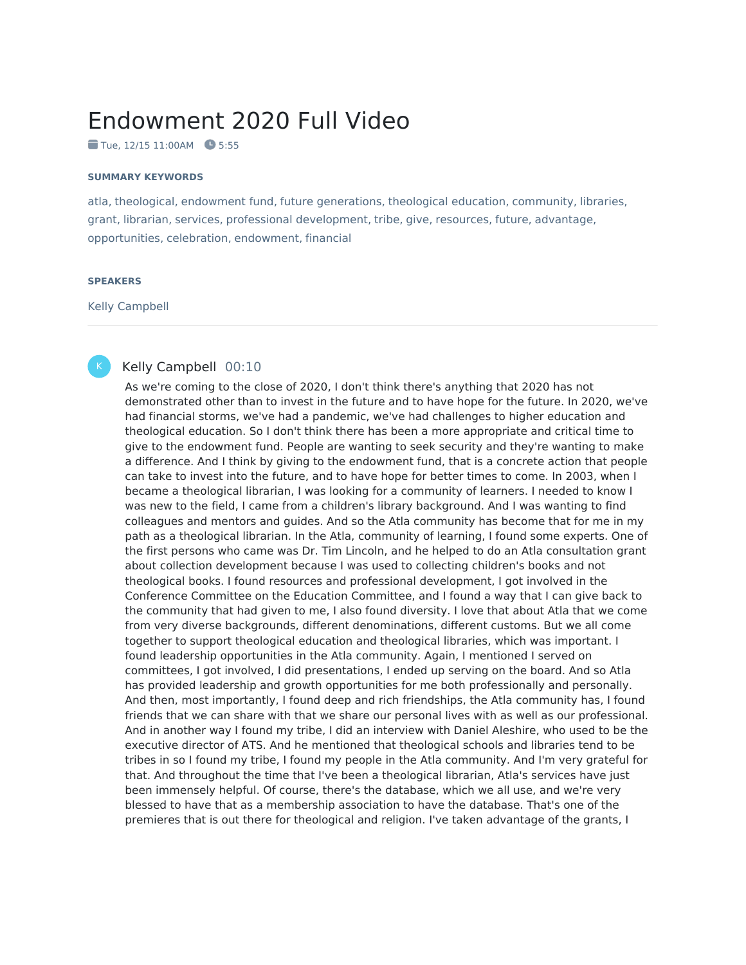## Endowment 2020 Full Video

Tue, 12/15 11:00AM **3** 5:55

## **SUMMARY KEYWORDS**

atla, theological, endowment fund, future generations, theological education, community, libraries, grant, librarian, services, professional development, tribe, give, resources, future, advantage, opportunities, celebration, endowment, financial

## **SPEAKERS**

Kelly Campbell



## Kelly Campbell 00:10

As we're coming to the close of 2020, I don't think there's anything that 2020 has not demonstrated other than to invest in the future and to have hope for the future. In 2020, we've had financial storms, we've had a pandemic, we've had challenges to higher education and theological education. So I don't think there has been a more appropriate and critical time to give to the endowment fund. People are wanting to seek security and they're wanting to make a difference. And I think by giving to the endowment fund, that is a concrete action that people can take to invest into the future, and to have hope for better times to come. In 2003, when I became a theological librarian, I was looking for a community of learners. I needed to know I was new to the field, I came from a children's library background. And I was wanting to find colleagues and mentors and guides. And so the Atla community has become that for me in my path as a theological librarian. In the Atla, community of learning, I found some experts. One of the first persons who came was Dr. Tim Lincoln, and he helped to do an Atla consultation grant about collection development because I was used to collecting children's books and not theological books. I found resources and professional development, I got involved in the Conference Committee on the Education Committee, and I found a way that I can give back to the community that had given to me, I also found diversity. I love that about Atla that we come from very diverse backgrounds, different denominations, different customs. But we all come together to support theological education and theological libraries, which was important. I found leadership opportunities in the Atla community. Again, I mentioned I served on committees, I got involved, I did presentations, I ended up serving on the board. And so Atla has provided leadership and growth opportunities for me both professionally and personally. And then, most importantly, I found deep and rich friendships, the Atla community has, I found friends that we can share with that we share our personal lives with as well as our professional. And in another way I found my tribe, I did an interview with Daniel Aleshire, who used to be the executive director of ATS. And he mentioned that theological schools and libraries tend to be tribes in so I found my tribe, I found my people in the Atla community. And I'm very grateful for that. And throughout the time that I've been a theological librarian, Atla's services have just been immensely helpful. Of course, there's the database, which we all use, and we're very blessed to have that as a membership association to have the database. That's one of the premieres that is out there for theological and religion. I've taken advantage of the grants, I